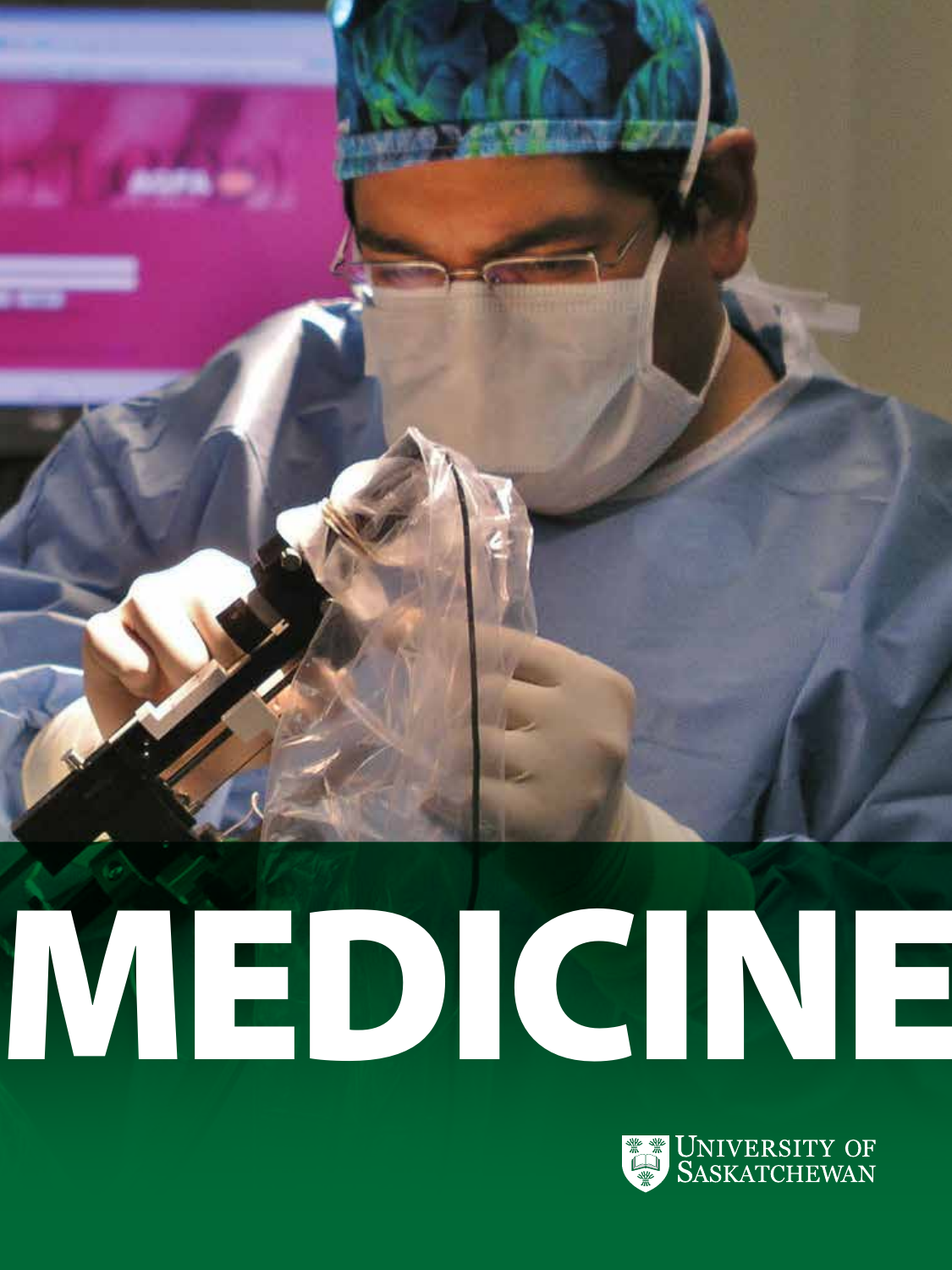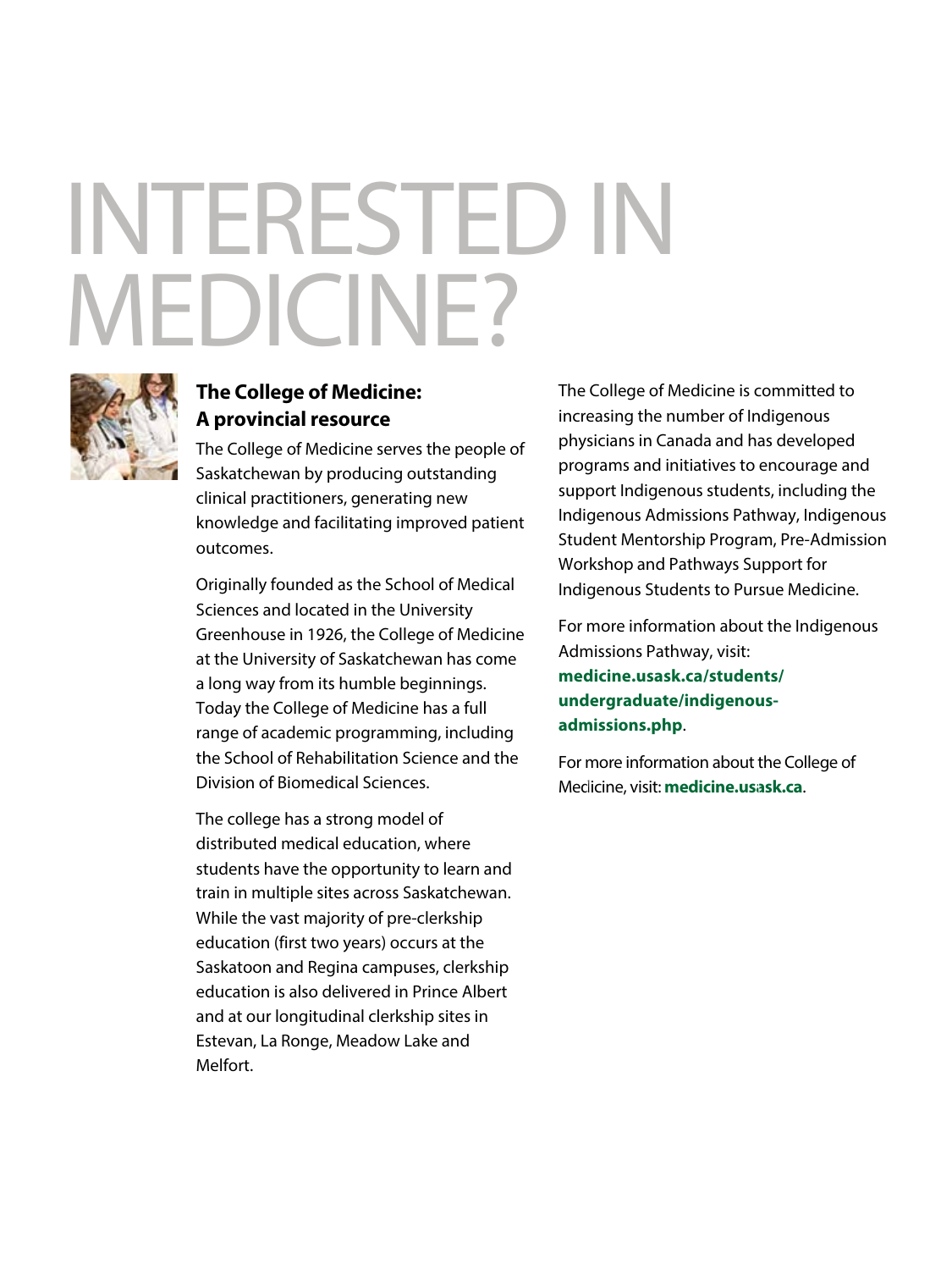### INTERESTED IN MEDICINE?



### **The College of Medicine: A provincial resource**

The College of Medicine serves the people of Saskatchewan by producing outstanding clinical practitioners, generating new knowledge and facilitating improved patient outcomes.

Originally founded as the School of Medical Sciences and located in the University Greenhouse in 1926, the College of Medicine at the University of Saskatchewan has come a long way from its humble beginnings. Today the College of Medicine has a full range of academic programming, including the School of Rehabilitation Science and the Division of Biomedical Sciences.

The college has a strong model of distributed medical education, where students have the opportunity to learn and train in multiple sites across Saskatchewan. While the vast majority of pre-clerkship education (first two years) occurs at the Saskatoon and Regina campuses, clerkship education is also delivered in Prince Albert and at our longitudinal clerkship sites in Estevan, La Ronge, Meadow Lake and Melfort.

The College of Medicine is committed to increasing the number of Indigenous physicians in Canada and has developed programs and initiatives to encourage and support Indigenous students, including the Indigenous Admissions Pathway, Indigenous Student Mentorship Program, Pre-Admission Workshop and Pathways Support for Indigenous Students to Pursue Medicine.

For more information about the Indigenous Admissions Pathway, visit: **[medicine.usask.ca/students/](https://medicine.usask.ca/students/undergraduate/indigenous-admissions.php) undergraduate/indigenousadmissions.php**.

For more information about the College of Medicine, visit: **[medicine.usask.ca](https://medicine.usask.ca/)**.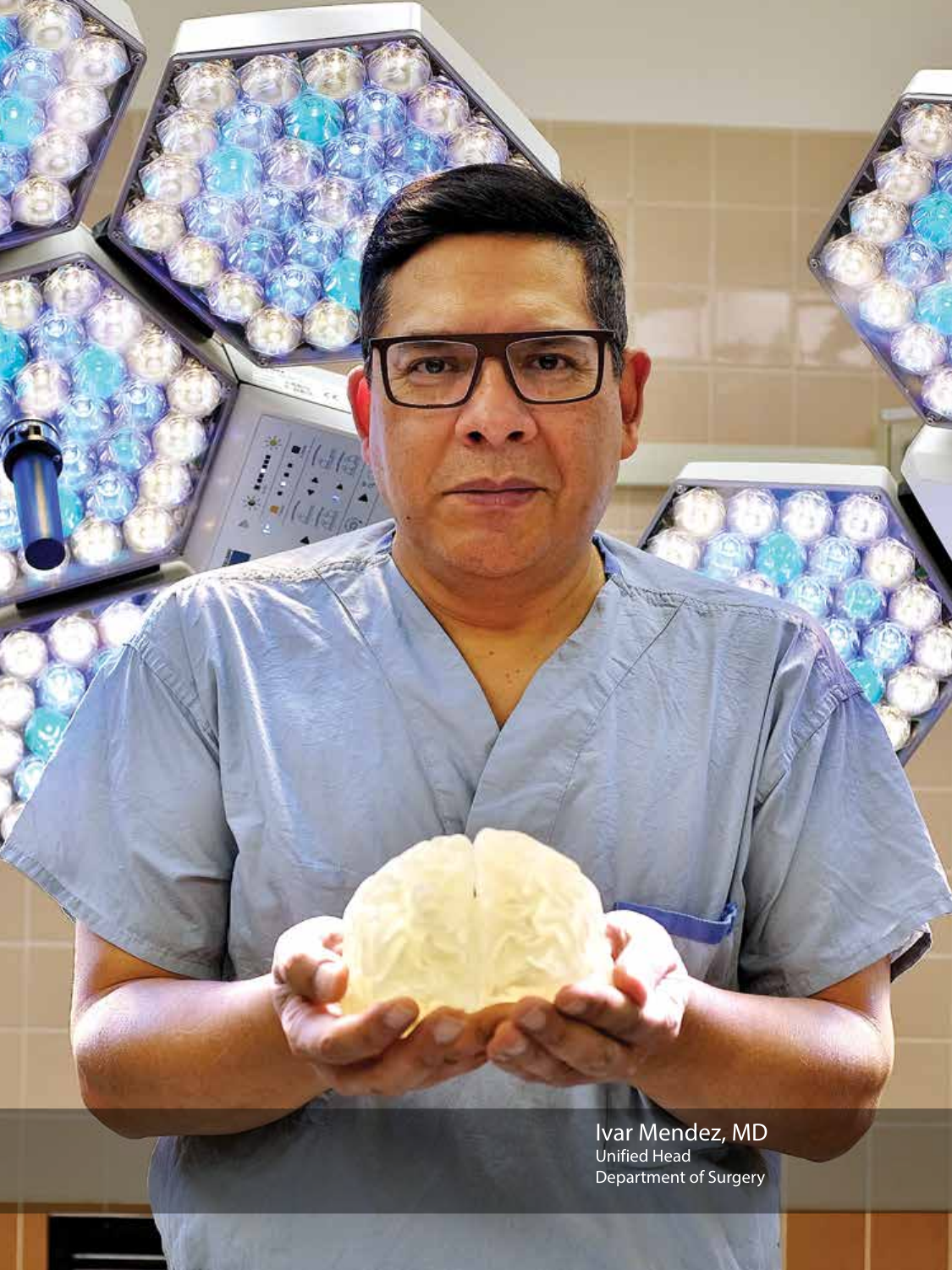Ivar Mendez, MD Unified Head Department of Surgery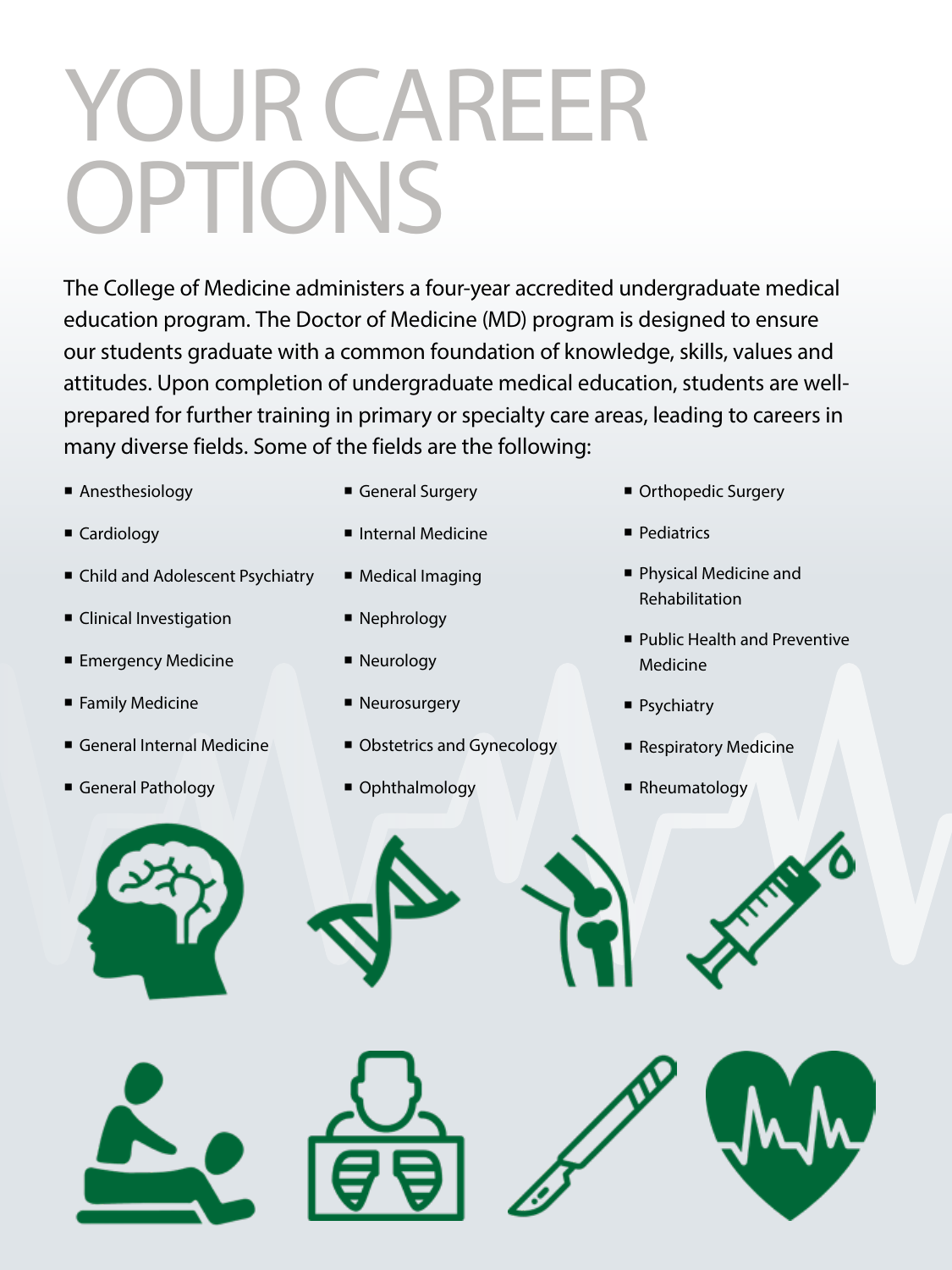### OUR CAREER **OPTIONS**

The College of Medicine administers a four-year accredited undergraduate medical education program. The Doctor of Medicine (MD) program is designed to ensure our students graduate with a common foundation of knowledge, skills, values and attitudes. Upon completion of undergraduate medical education, students are wellprepared for further training in primary or specialty care areas, leading to careers in many diverse fields. Some of the fields are the following:

- Anesthesiology
- Cardiology
- Child and Adolescent Psychiatry
- **E** Clinical Investigation
- **Emergency Medicine**
- Family Medicine
- General Internal Medicine
- General Pathology





- General Surgery
- Internal Medicine
- Medical Imaging
- Nephrology
- **E** Neurology
- Neurosurgery
- Obstetrics and Gynecology
- Ophthalmology
- Orthopedic Surgery
- Pediatrics
- ¡ Physical Medicine and Rehabilitation
- Public Health and Preventive Medicine
- Psychiatry
- **Respiratory Medicine**
- Rheumatology





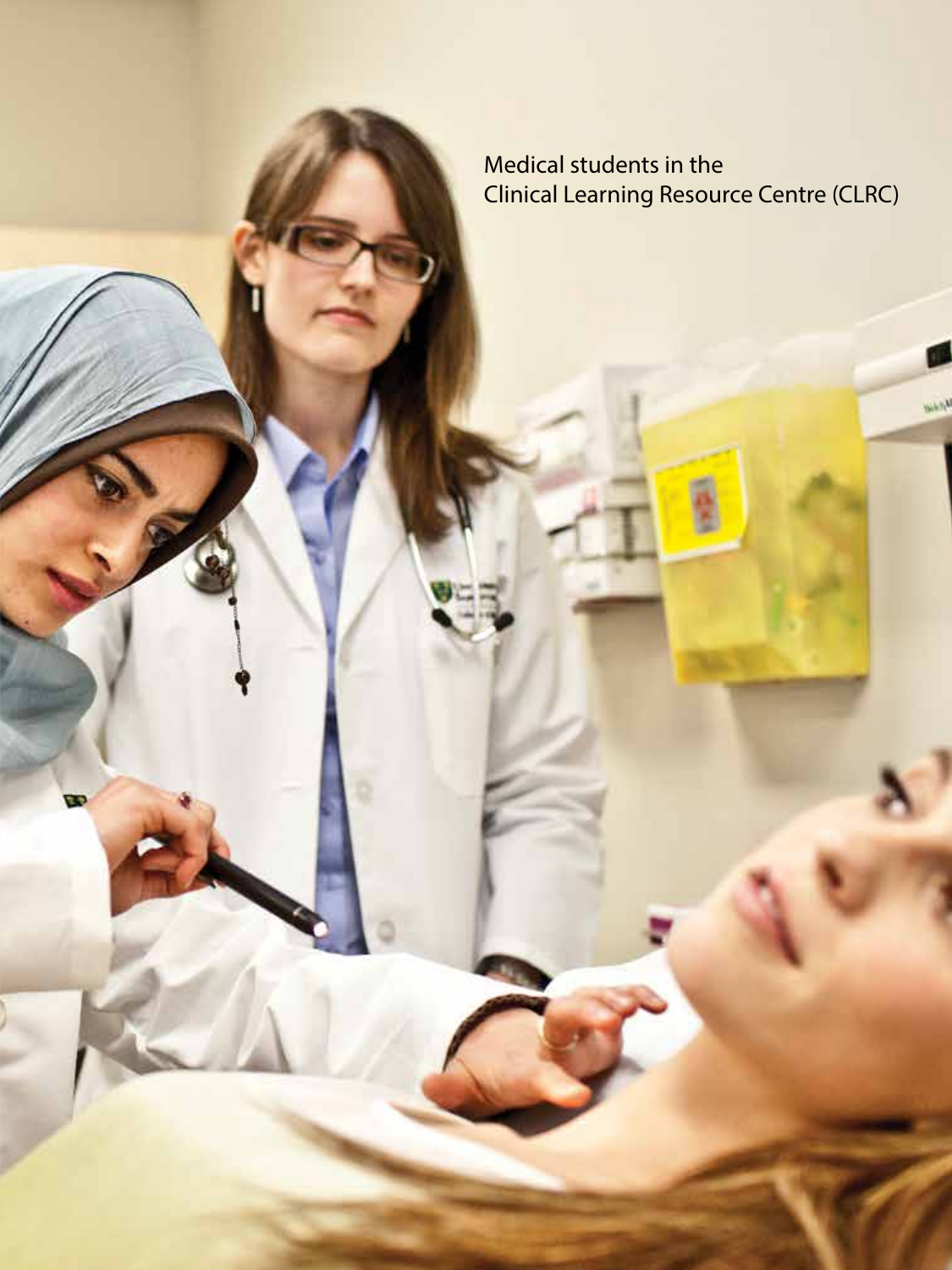Medical students in the Clinical Learning Resource Centre (CLRC)

**UP** 

**Which**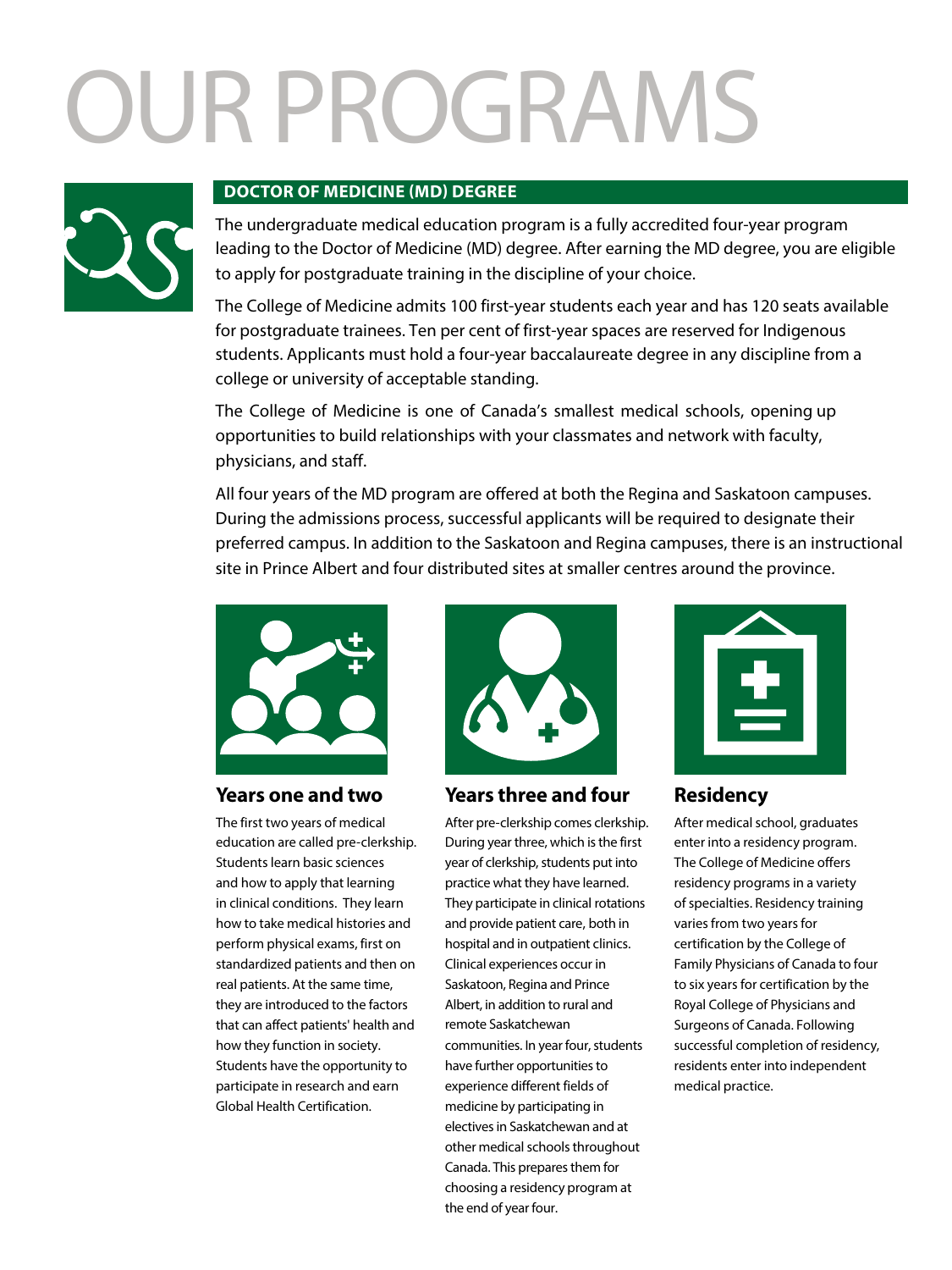## UR PROGRAMS



### **DOCTOR OF MEDICINE (MD) DEGREE**

The undergraduate medical education program is a fully accredited four-year program leading to the Doctor of Medicine (MD) degree. After earning the MD degree, you are eligible to apply for postgraduate training in the discipline of your choice.

The College of Medicine admits 100 first-year students each year and has 120 seats available for postgraduate trainees. Ten per cent of first-year spaces are reserved for Indigenous students. Applicants must hold a four-year baccalaureate degree in any discipline from a college or university of acceptable standing.

The College of Medicine is one of Canada's smallest medical schools, opening up opportunities to build relationships with your classmates and network with faculty, physicians, and staff.

All four years of the MD program are offered at both the Regina and Saskatoon campuses. During the admissions process, successful applicants will be required to designate their preferred campus. In addition to the Saskatoon and Regina campuses, there is an instructional site in Prince Albert and four distributed sites at smaller centres around the province.



### **Years one and two**

The first two years of medical education are called pre-clerkship. Students learn basic sciences and how to apply that learning in clinical conditions. They learn how to take medical histories and perform physical exams, first on standardized patients and then on real patients. At the same time, they are introduced to the factors that can affect patients' health and how they function in society. Students have the opportunity to participate in research and earn Global Health Certification.



### **Years three and four**

After pre-clerkship comes clerkship. During year three, which is the first year of clerkship, students put into practice what they have learned. They participate in clinical rotations and provide patient care, both in hospital and in outpatient clinics. Clinical experiences occur in Saskatoon, Regina and Prince Albert, in addition to rural and remote Saskatchewan communities. In year four, students have further opportunities to experience different fields of medicine by participating in electives in Saskatchewan and at other medical schools throughout Canada. This prepares them for choosing a residency program at the end of year four.



### **Residency**

After medical school, graduates enter into a residency program. The College of Medicine offers residency programs in a variety of specialties. Residency training varies from two years for certification by the College of Family Physicians of Canada to four to six years for certification by the Royal College of Physicians and Surgeons of Canada. Following successful completion of residency, residents enter into independent medical practice.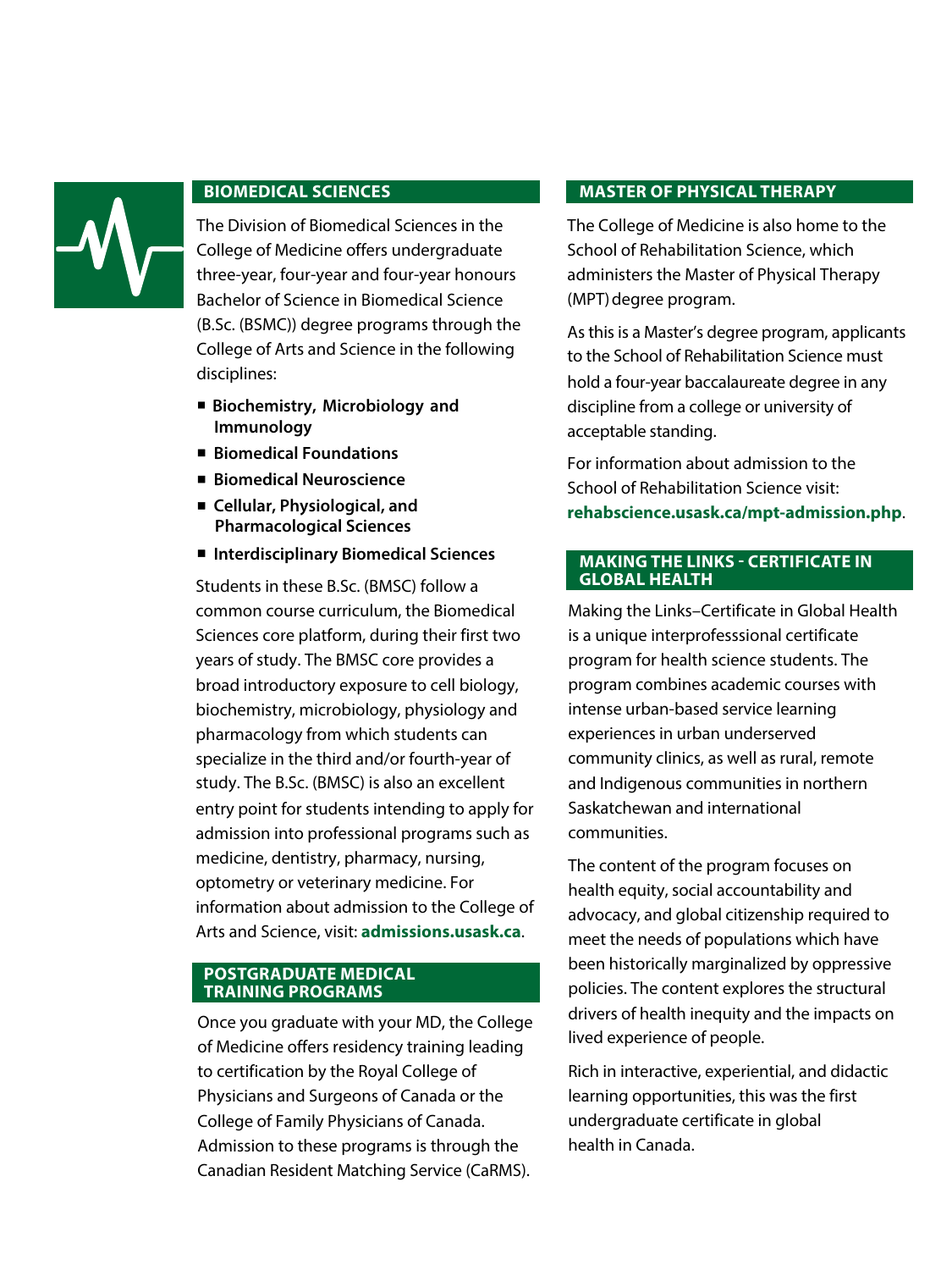

### **BIOMEDICAL SCIENCES**

The Division of Biomedical Sciences in the College of Medicine offers undergraduate three-year, four-year and four-year honours Bachelor of Science in Biomedical Science (B.Sc. (BSMC)) degree programs through the College of Arts and Science in the following disciplines:

- ¡ **Biochemistry, Microbiology and Immunology**
- **Biomedical Foundations**
- Biomedical Neuroscience
- **Cellular, Physiological, and Pharmacological Sciences**
- Interdisciplinary Biomedical Sciences

Students in these B.Sc. (BMSC) follow a common course curriculum, the Biomedical Sciences core platform, during their first two years of study. The BMSC core provides a broad introductory exposure to cell biology, biochemistry, microbiology, physiology and pharmacology from which students can specialize in the third and/or fourth-year of study. The B.Sc. (BMSC) is also an excellent entry point for students intending to apply for admission into professional programs such as medicine, dentistry, pharmacy, nursing, optometry or veterinary medicine. For information about admission to the College of Arts and Science, visit: **admissions.usask.ca**.

### **POSTGRADUATE MEDICAL TRAINING PROGRAMS**

Once you graduate with your MD, the College of Medicine offers residency training leading to certification by the Royal College of Physicians and Surgeons of Canada or the College of Family Physicians of Canada. Admission to these programs is through the Canadian Resident Matching Service (CaRMS).

### **MASTER OF PHYSICAL THERAPY**

The College of Medicine is also home to the School of Rehabilitation Science, which administers the Master of Physical Therapy (MPT) degree program.

As this is a Master's degree program, applicants to the School of Rehabilitation Science must hold a four-year baccalaureate degree in any discipline from a college or university of acceptable standing.

For information about admission to the School of Rehabilitation Science visit: **[rehabscience.usask.ca/mpt-admission.php](https://rehabscience.usask.ca/mpt-admission.php)**.

### **MAKING THE LINKS - CERTIFICATE IN GLOBAL HEALTH**

Making the Links–Certificate in Global Health is a unique interprofesssional certificate program for health science students. The program combines academic courses with intense urban-based service learning experiences in urban underserved community clinics, as well as rural, remote and Indigenous communities in northern Saskatchewan and international communities.

The content of the program focuses on health equity, social accountability and advocacy, and global citizenship required to meet the needs of populations which have been historically marginalized by oppressive policies. The content explores the structural drivers of health inequity and the impacts on lived experience of people.

Rich in interactive, experiential, and didactic learning opportunities, this was the first undergraduate certificate in global health in Canada.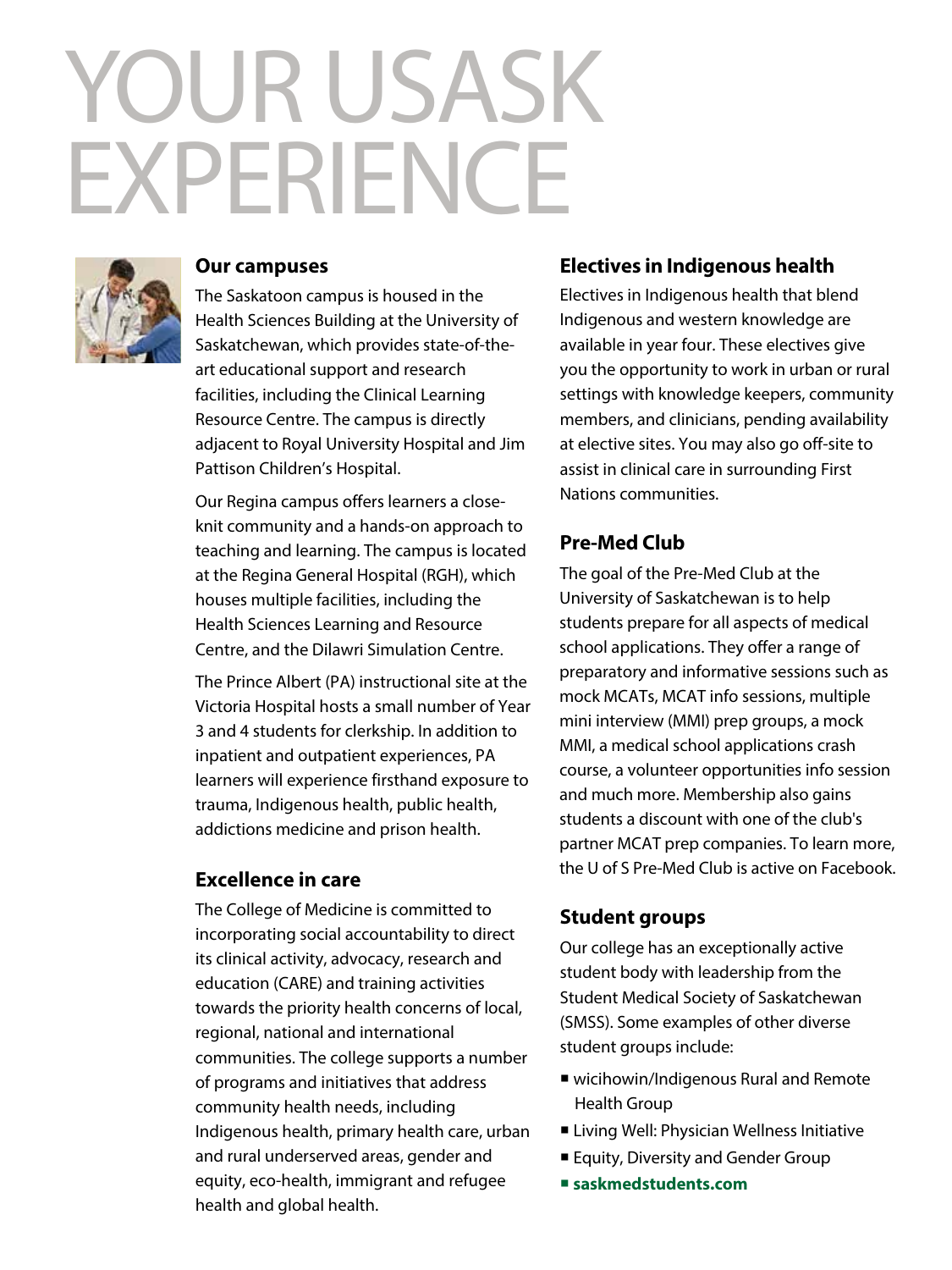### YOUR USASK EXPERIENCE



### **Our campuses**

The Saskatoon campus is housed in the Health Sciences Building at the University of Saskatchewan, which provides state-of-theart educational support and research facilities, including the Clinical Learning Resource Centre. The campus is directly adjacent to Royal University Hospital and Jim Pattison Children's Hospital.

Our Regina campus offers learners a closeknit community and a hands-on approach to teaching and learning. The campus is located at the Regina General Hospital (RGH), which houses multiple facilities, including the Health Sciences Learning and Resource Centre, and the Dilawri Simulation Centre.

The Prince Albert (PA) instructional site at the Victoria Hospital hosts a small number of Year 3 and 4 students for clerkship. In addition to inpatient and outpatient experiences, PA learners will experience firsthand exposure to trauma, Indigenous health, public health, addictions medicine and prison health.

### **Excellence in care**

The College of Medicine is committed to incorporating social accountability to direct its clinical activity, advocacy, research and education (CARE) and training activities towards the priority health concerns of local, regional, national and international communities. The college supports a number of programs and initiatives that address community health needs, including Indigenous health, primary health care, urban and rural underserved areas, gender and equity, eco-health, immigrant and refugee health and global health.

### **Electives in Indigenous health**

Electives in Indigenous health that blend Indigenous and western knowledge are available in year four. These electives give you the opportunity to work in urban or rural settings with knowledge keepers, community members, and clinicians, pending availability at elective sites. You may also go off-site to assist in clinical care in surrounding First Nations communities.

### **Pre-Med Club**

The goal of the Pre-Med Club at the University of Saskatchewan is to help students prepare for all aspects of medical school applications. They offer a range of preparatory and informative sessions such as mock MCATs, MCAT info sessions, multiple mini interview (MMI) prep groups, a mock MMI, a medical school applications crash course, a volunteer opportunities info session and much more. Membership also gains students a discount with one of the club's partner MCAT prep companies. To learn more, the U of S Pre-Med Club is active on Facebook.

### **Student groups**

Our college has an exceptionally active student body with leadership from the Student Medical Society of Saskatchewan (SMSS). Some examples of other diverse student groups include:

- wicihowin/Indigenous Rural and Remote Health Group
- **Living Well: Physician Wellness Initiative**
- Equity, Diversity and Gender Group
- **[saskmedstudents.com](https://saskmedstudents.com/)**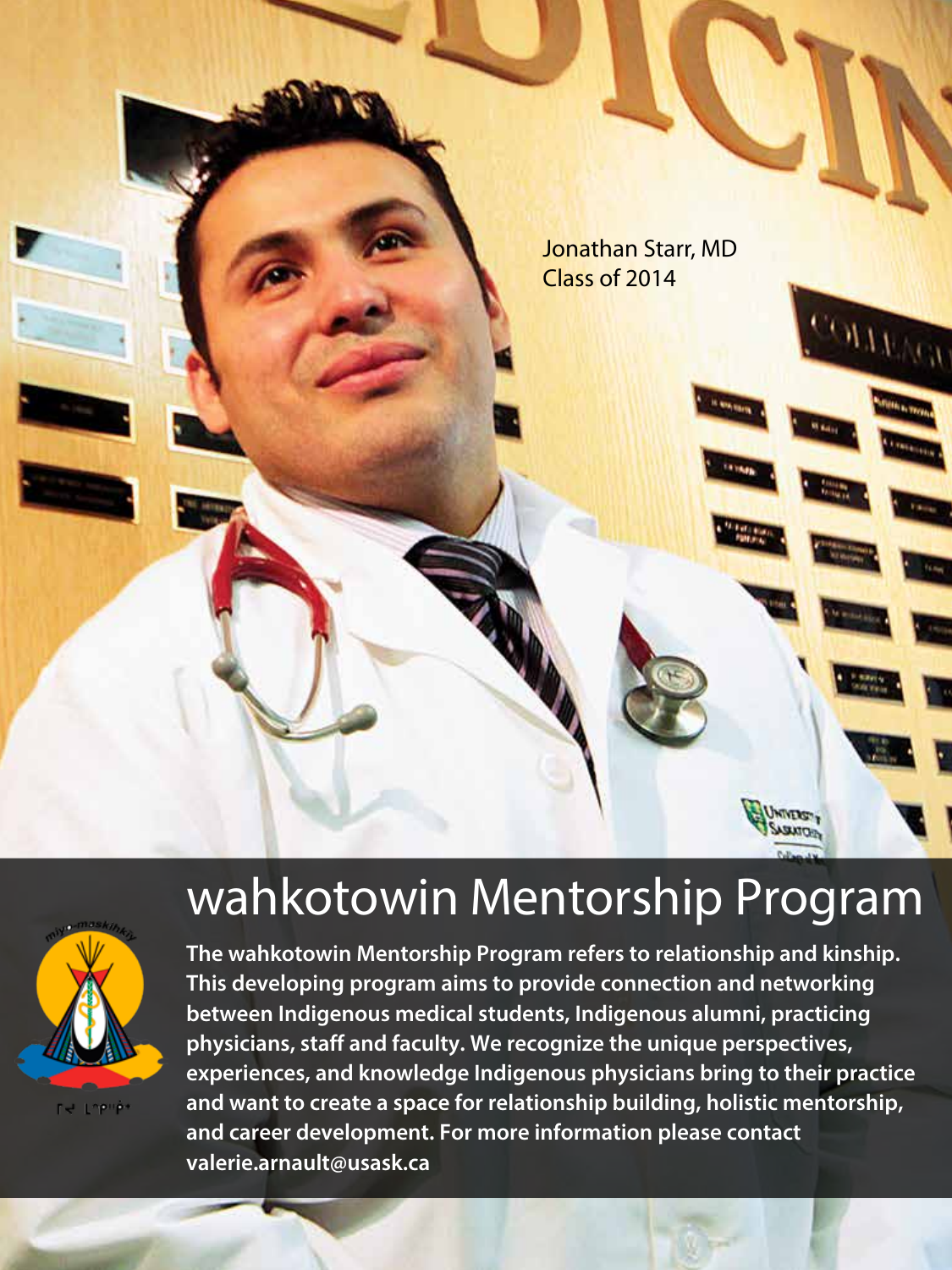

re Lopijos

### wahkotowin Mentorship Program

**The wahkotowin Mentorship Program refers to relationship and kinship. This developing program aims to provide connection and networking between Indigenous medical students, Indigenous alumni, practicing physicians, staff and faculty. We recognize the unique perspectives, experiences, and knowledge Indigenous physicians bring to their practice and want to create a space for relationship building, holistic mentorship, and career development. For more information please contact valerie.arnault@usask.ca**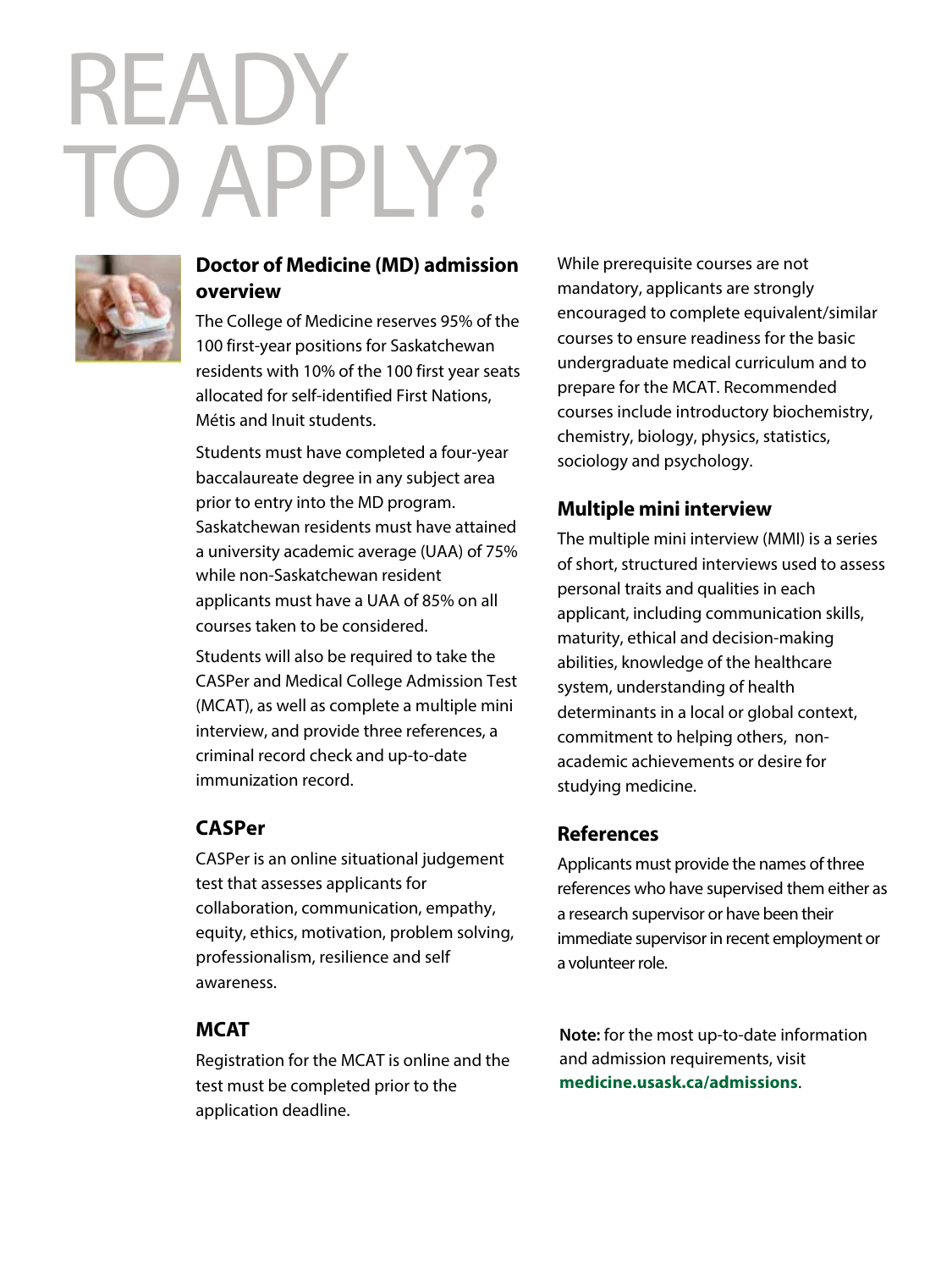### **READ** TO APPLY?



### **Doctor of Medicine (MD) admission overview**

The College of Medicine reserves 95% of the 100 first-year positions for Saskatchewan residents with 10% of the 100 first year seats allocated for self-identified First Nations, Métis and Inuit students.

Students must have completed a four-year baccalaureate degree in any subject area prior to entry into the MD program. Saskatchewan residents must have attained a university academic average (UAA) of 75% while non-Saskatchewan resident applicants must have a UAA of 85% on all courses taken to be considered.

Students will also be required to take the CASPer and Medical College Admission Test (MCAT), as well as complete a multiple mini interview, and provide three references, a criminal record check and up-to-date immunization record.

### **CASPer**

CASPer is an online situational judgement test that assesses applicants for collaboration, communication, empathy, equity, ethics, motivation, problem solving, professionalism, resilience and self awareness.

### **MCAT**

Registration for the MCAT is online and the test must be completed prior to the application deadline.

While prerequisite courses are not mandatory, applicants are strongly encouraged to complete equivalent/similar courses to ensure readiness for the basic undergraduate medical curriculum and to prepare for the MCAT. Recommended courses include introductory biochemistry, chemistry, biology, physics, statistics, sociology and psychology.

### **Multiple mini interview**

The multiple mini interview (MMI) is a series of short, structured interviews used to assess personal traits and qualities in each applicant, including communication skills, maturity, ethical and decision-making abilities, knowledge of the healthcare system, understanding of health determinants in a local or global context, commitment to helping others, nonacademic achievements or desire for studying medicine.

### **References**

Applicants must provide the names of three references who have supervised them either as a research supervisor or have been their immediate supervisor in recent employment or a volunteer role.

**Note:** for the most up-to-date information and admission requirements, visit **[medicine.usask.ca/admissions](https://medicine.usask.ca/admissions)**.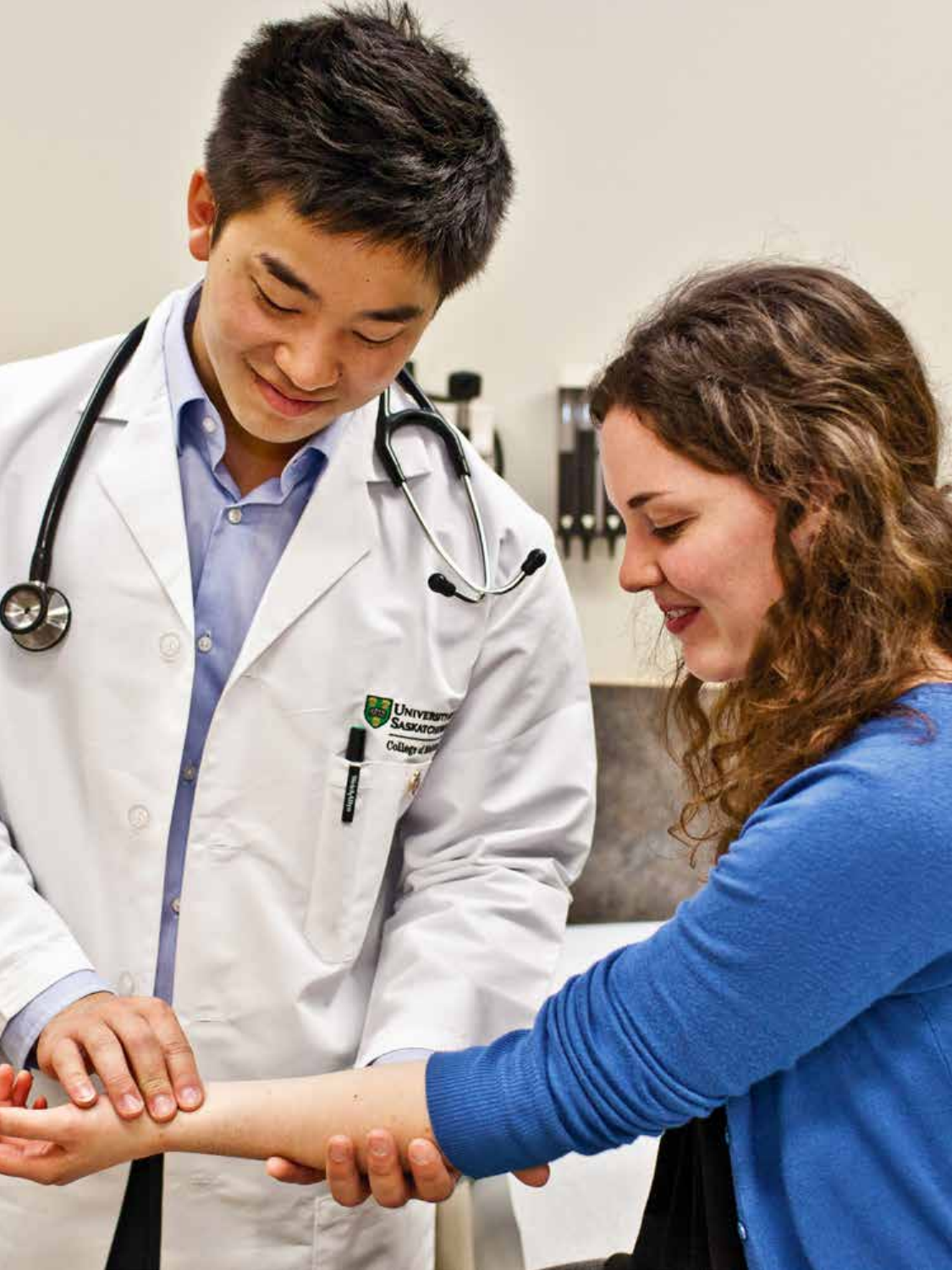